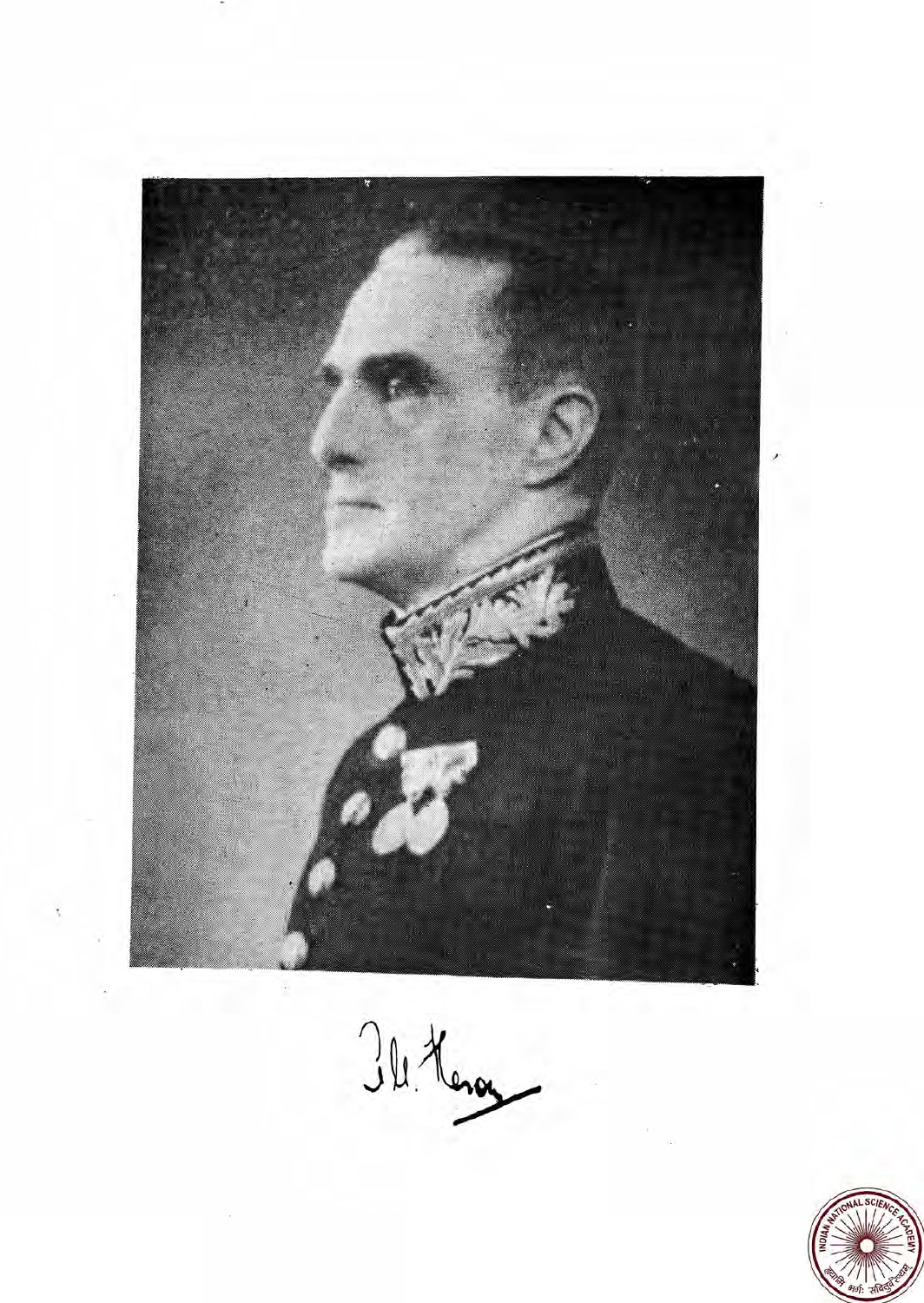

Ill Keng

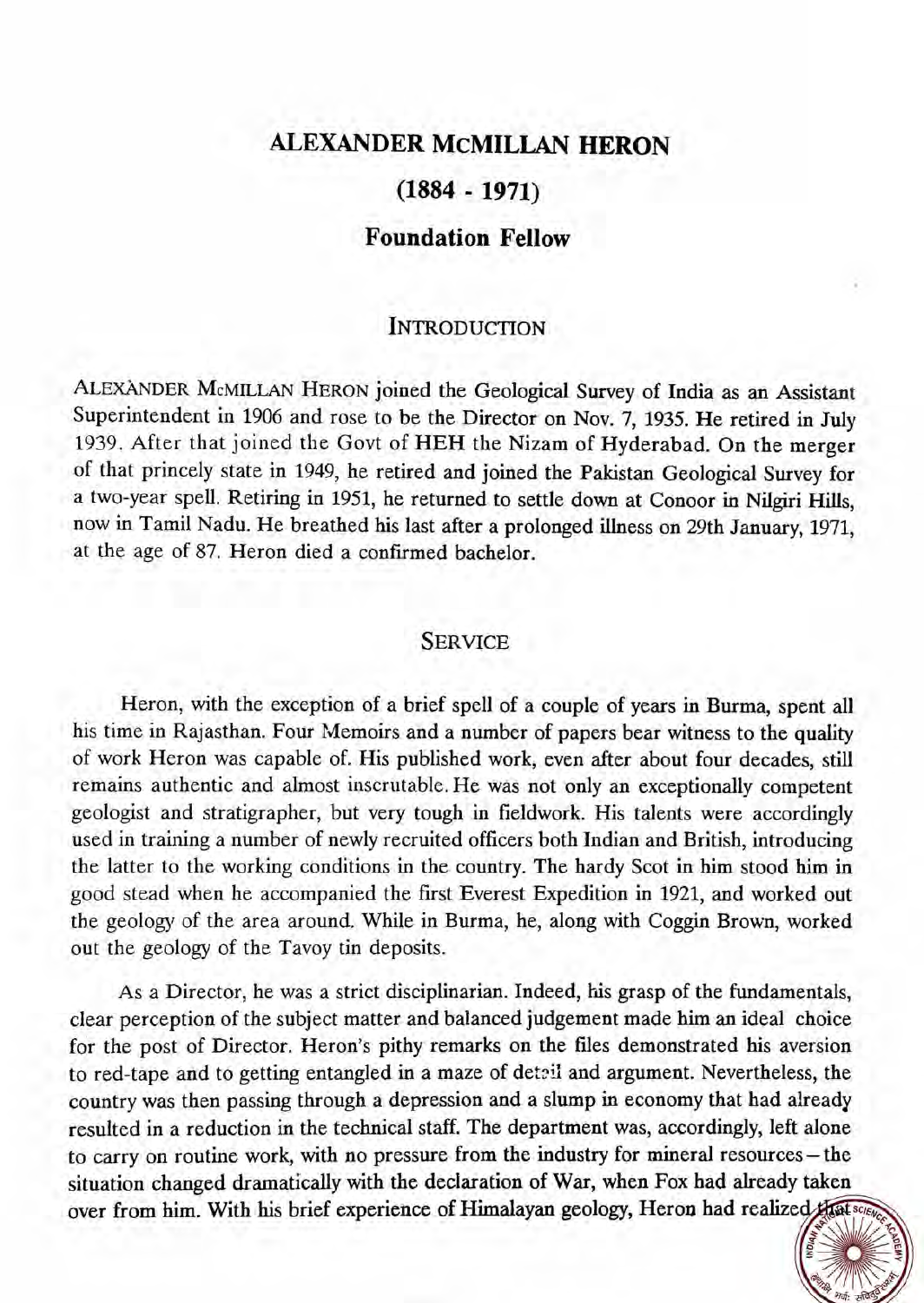# **ALEXANDER McMILLAN HERON**

# **(1884** - **1971)**

# **Foundation Fellow**

# **INTRODUCTION**

ALEXANDER McMILLAN HERON joined the Geological Survey of India as an Assistant Superintendent in 1906 and rose to be the Director on Nov. 7, 1935. He retired in July 1939. After that joined the Govt of HEH the Nizam of Hyderabad. On the merger of that princely state in 1949, he retired and joined the Pakistan Geological Survey for a two-year spell. Retiring in 1951, he returned to settle down at Conoor in Nilgiri Hills, now in Tamil Nadu. He breathed his last after a prolonged illness on 29th January, 1971, at the age of 87. Heron died a confirmed bachelor.

### **SERVICE**

Heron, with the exception of a brief spell of a couple of years in Burma, spent all his time in Rajasthan. Four Memoirs and a number of papers bear witness to the quality of work Heron was capable of. His published work, even after about four decades, still remains authentic and almost inscrutable. He was not only an exceptionally competent geologist and stratigrapher, but very tough in fieldwork. His talents were accordingly used in training a number of newly recruited officers both Indian and British, introducing the latter to the working conditions in the country. The hardy Scot in him stood him in good stead when he accompanied the first Everest Expedition in 1921, and worked out the geology of the area around. While in Burma, he, along with Coggin Brown, worked out the geology of the Tavoy tin deposits.

As a Director, he was a strict disciplinarian. Indeed, his grasp of the fundamentals, clear perception of the subject matter and balanced judgement made him **an** ideal choice for the post of Director. Heron's pithy remarks on the files demonstrated his aversion to red-tape and to getting entangled in a maze of detail and argument. Nevertheless, the country was then passing through a depression and a slump in economy that had already resulted in a reduction in the technical staff. The department was, accordingly, left alone to carry on routine work, with no pressure from the industry for mineral resources- the situation changed dramatically with the declaration of War, when Fox had already taken over from him. With his brief experience of Himalayan geology, Heron had realized that some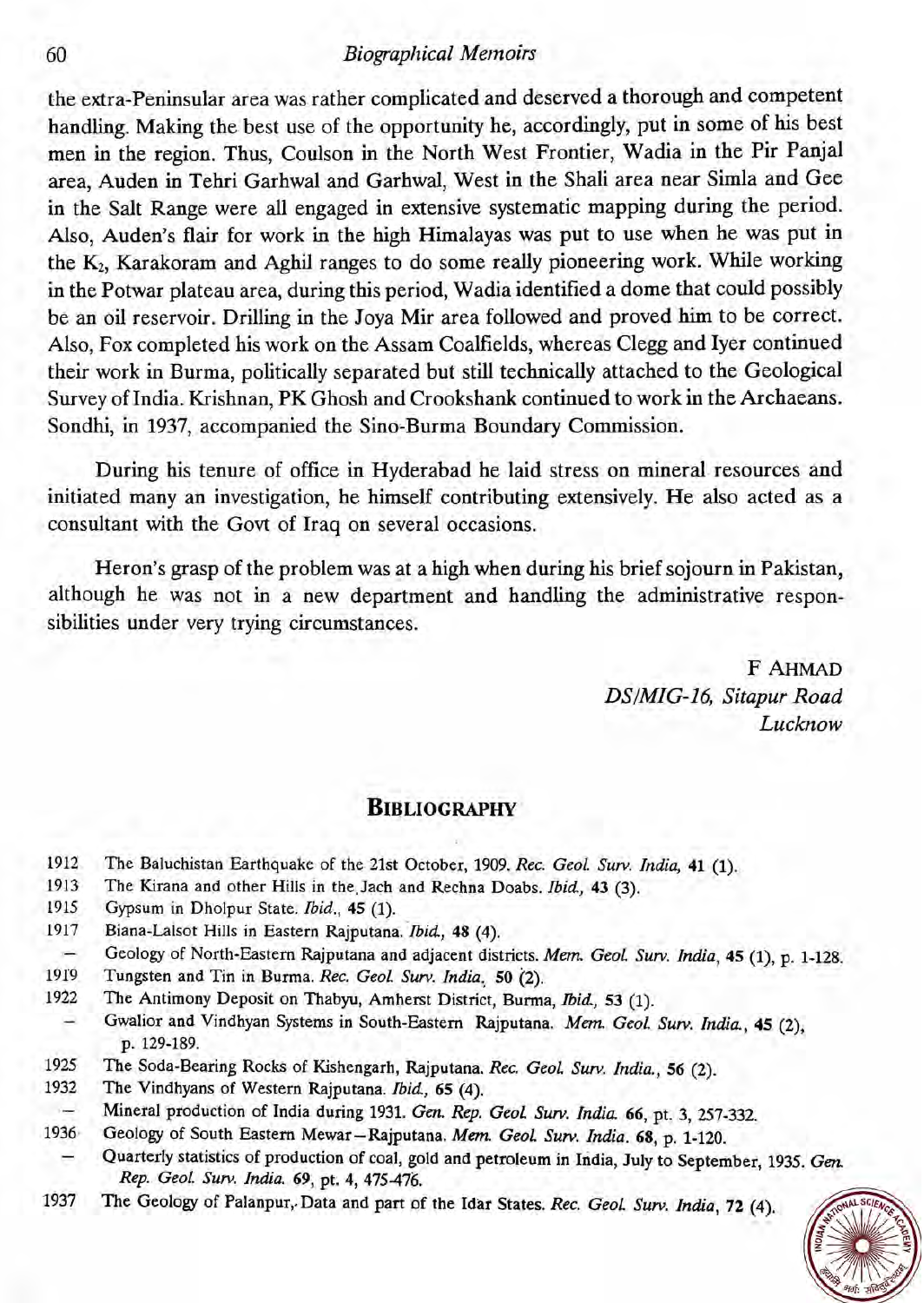#### Biographical Memoirs

the extra-Peninsular area was rather complicated and deserved a thorough and competent handling. Making the best use of the opportunity he, accordingly, put in some of his best men in the region. Thus, Coulson in the North West Frontier, Wadia in the Pir Panjal area, Auden in Tehri Garhwal and Garhwal, West in the Shali area near Simla and Gee in the Salt Range were all engaged in extensive systematic mapping during the period. Also, Auden's flair for work in the high Himalayas was put to use when he was put in the K2, Karakoram and Aghil ranges to do some really pioneering work. While working in the Potwar plateau area, during this period, Wadia identified a dome that could possibly be an oil reservoir. Drilling in the Joya Mir area followed and proved him to be correct. Also, Fox completed his work on the Assam Coalfields, whereas Clegg and Iyer continued their work in Burma, politically separated but still technically attached to the Geological Survey of India. Krishnan, PK Ghosh and Crookshank continued to work in the Archaeans. Sondhi, in 1937, accompanied the Sino-Burma Boundary Commission.

During his tenure of office in Hyderabad he laid stress on mineral resources and initiated many an investigation, he himself contributing extensively. He also acted as a consultant with the Govt of Iraq on several occasions.

Heron's grasp of the problem was at a high when during his brief sojourn in Pakistan, although he was not in a new department and handling the administrative responsibilities under very trying circumstances.

> F AHMAD DSIMIG-16, Sitapur Road Lucknow

## **BIBLIOGRAPHY**

- 1912 The Baluchistan Earthquake of the 21st October, 1909. *Rec. Geol. Surv. India*, 41 (1).
- 1913 The Kirana and other Hills in the Jach and Rechna Doabs. *Ibid.*, 43 (3).
- 1915 Gypsum in Dholpur State. Ibid., 45 (1).
- 1917 Biana-Lalsot Hills in Eastern Rajputana. Ibid., 48 (4).
- Geology of North-Eastern Rajputana and adjacent districts. Mem. Geol. Surv. India, 45 (1), p. 1-128.
- 1919 Tungsten and Tin in Burma. *Rec. Geol. Surv. India.* 50 (2).
- 1922 The Antimony Deposit on Thabyu, Amherst District, Burma, Ibid., 53 (1).
- Gwalior and Vindhyan Systems in South-Eastern Rajputana. Mem. Geol. Surv. India., 45 (2), p. 129-189.
- 1925 The Soda-Bearing Rocks of Kishengarh, Rajputana. *Rec. Geol* **Surv.** India., 56 (2).
- 1932 The Vindhyans of Western Rajputana. Ibid, 65 (4).
- Mineral production of India during 1931. *Gen. Rep. GeoL* **Surv.** India 66, pt. 3, 257-332.
- 1936 Geology of South Eastern Mewar-Rajputana. *Mem. GeoL* **Sun.** India. 68, p. 1-120.
	- Quarterly statistics of production of coal, gold and petroleum in India, July to September, 1935. *Gen. Rep. Geol.* **Surv.** India. 69, pt. 4, 475476.
- 1937 The Geology of Palanpur,.Data and part of the Idar States. *Rec. GeoL* **Sum.** India, *72* (4).

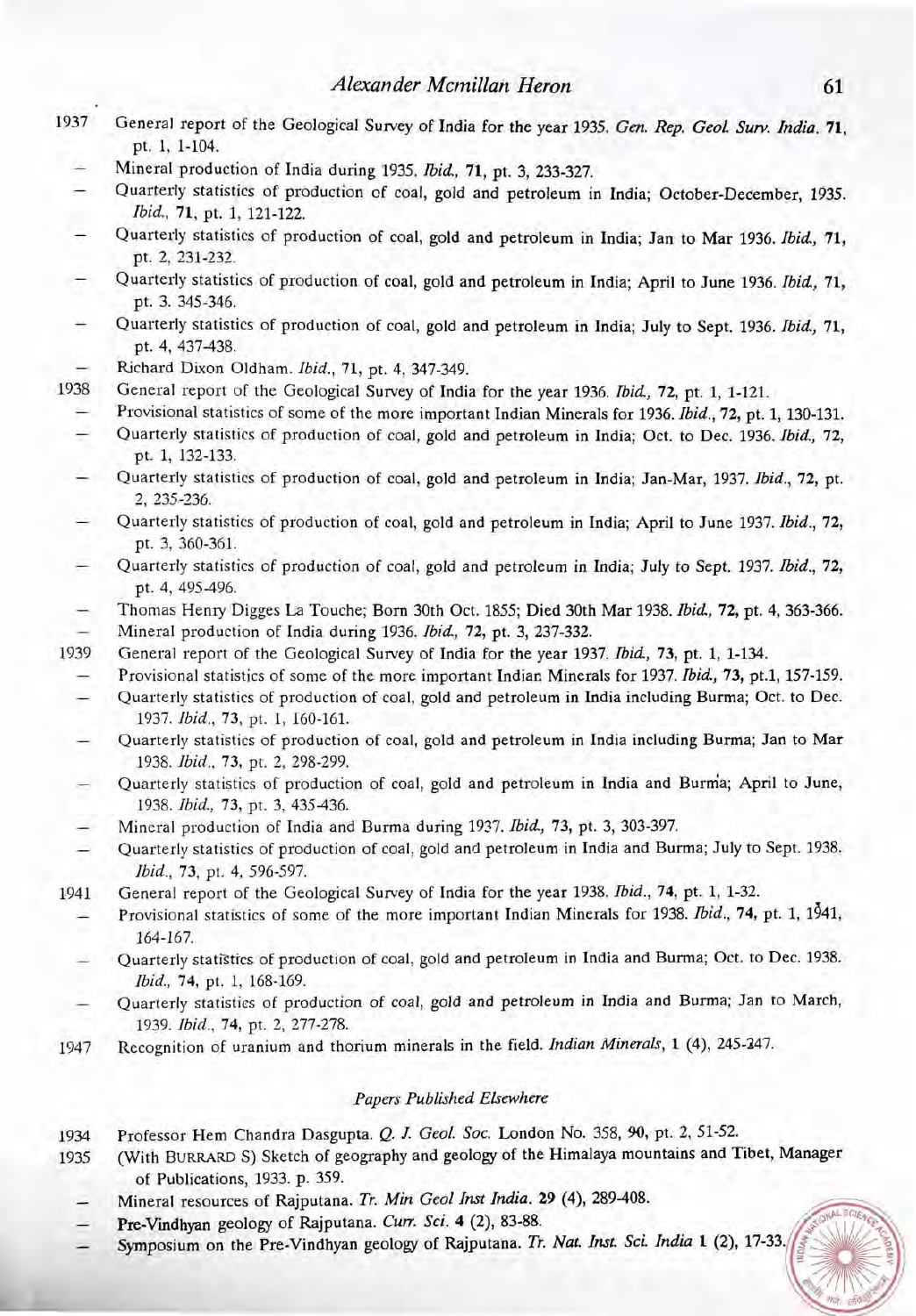- 1937 General report of the Geological Survey of India for the year 1935. Gen. Rep. GeoL **Sun?** *India.* 71, pt. 1, 1-104.
	- Mineral production of India during 1935. Ibid., 71, pt. 3, 233-327.
	- Quarterly statistics of production cf coal, gold and petroleum in India; October-December, 1935. Ibid, 71, pt. 1, 121-122.
	- Quarterly statistics of production of coal, gold and petroleum in India; Jan to Mar 1936. Ibid, 71, pt. 2, 231-232.
	- Quarterly statistics of production of coal, gold and petroleum in India; April to June 1936. Ibid, 71, pt. 3. 345-346.
	- Quarterly statistics of production of coal, gold and petroleum in India; July to Sept. 1936. Ibid, **71,**  pt. 4, 437-438.
	- Richard Dixon Oldham. Ibid., 71, pt. 4, 347-349.
- 1938 General report of the Geological Survey of India for the year 1936. Ibid, 72, pt. 1, 1-121.
	- Provisional statistics of some of the more important Indian Minerals for 1936. Ibid., 72, pt. 1, 130-131.
	- Quarterly statistics of production of coal, gold and petroleum in India; Oct. to Dec. 1936. Ibid, 72, pt. 1, 132-133.
	- Quarterly statistics of production of coal, gold and petroleum in India; Jan-Mar, 1937. Ibid., 72, pt. 2, 235-236.
	- Quarterly statistics of production of coal, gold and petroleum in India; April to June 1937. Ibid., 72, pt. 3, 360-361.
	- Quarterly statistics of production of coal, gold and petroleum in India; July to Sept. 1937. Bid., 72, pt. 4, 495-496.
	- Thomas Henry Digges La Touche; Born 30th Oct. 1855; Died 30th Mar 1938. Ibid, 72, pt. 4,363-366.
- Mineral production of India during 1936. Ibid, 72, pt. 3, 237-332.
- 1939 General report of the Geological Survey of India for the year 1937. Ibid, 73, pt. 1, 1-134.
	- Provisional statistics of some of the more important Indian Minerals for 1937. *Ibid.*, 73, pt.1, 157-159.<br>- Quarterly statistics of production of coal, gold and petroleum in India including Burma; Oct. to Dec.
	- 1937. Ibid., 73, pt. 1, 160-161.
	- Quarterly statistics of production of coal, gold and petroleum in India including Burma; Jan to Mar 1938. Ibid., 73, pt. 2, 298-299.
	- Quarterly statistics of production of coal, gold and petroleum in India and Burma; April to June, 1938. Ibid., 73, pt. 3, 435-436.
	- Mineral production of India and Burma during 1937. Ibid., 73, pt. 3, 303-397.
	- Quarterly statistics of production of coal, gold and petroleum in India and Burma; July to Sept. 1938. Ibid., 73, pt. 4, 596-597.
- 1941 General report of the Geological Survey of India for the year 1938. Ibid., 74, pt. 1, 1-32.
	- Provisional statistics of some of the more important Indian Minerals for 1938. Ibid., 74, pt. 1, 1941, 164-167.
	- Quarterly statiStics of production of coal, gold and petroleum in India and Burma; Oct. to Dec. 1938. Ibid., 74, pt. 1, 168-169.
	- Quarterly statisties of production of coal, gold and petroleum in India and Burma; Jan to March, 1939. Ibid., 74, pt. 2, 277-278.
- 1947 Recognition of uranium and thorium minerals in the field. Indian Minerals, 1 (4), 245-247.

#### Papers Published Elsewhere

- 1934 Professor Hem Chandra Dasgupta. Q. *J.* **Geol. Soc.** London No. 358,90, pt. **2,** 51-52.
- 1935 (With BURRARD S) Sketch of geography and geology of the Himalaya mountains and Tibet, Manager of Publications, 1933. p. 359.
	- Mineral resources of Rajputana. Tr. Min Geol Inst India. 29 (4), 289-408.
	- Pre-Vindhyan geology of Rajputana. Curr. Sci. 4 (2), 83-88.
	- Symposium on the Pre-Vindhyan geology of Rajputana. Tr. Nat. Inst. Sci. India 1 (2), 17-33.